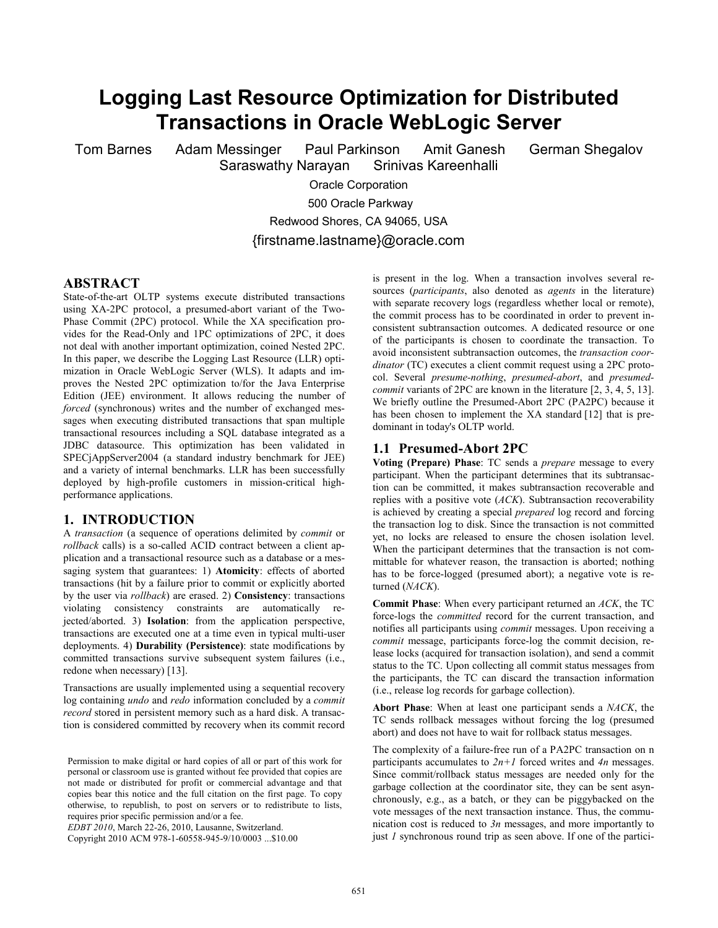# **Logging Last Resource Optimization for Distributed Transactions in Oracle WebLogic Server**

Tom Barnes Adam Messinger Paul Parkinson Amit Ganesh German Shegalov

Saraswathy Narayan Srinivas Kareenhalli

Oracle Corporation

500 Oracle Parkway

Redwood Shores, CA 94065, USA

{firstname.lastname}@oracle.com

#### **ABSTRACT**

State-of-the-art OLTP systems execute distributed transactions using XA-2PC protocol, a presumed-abort variant of the Two-Phase Commit (2PC) protocol. While the XA specification provides for the Read-Only and 1PC optimizations of 2PC, it does not deal with another important optimization, coined Nested 2PC. In this paper, we describe the Logging Last Resource (LLR) optimization in Oracle WebLogic Server (WLS). It adapts and improves the Nested 2PC optimization to/for the Java Enterprise Edition (JEE) environment. It allows reducing the number of *forced* (synchronous) writes and the number of exchanged messages when executing distributed transactions that span multiple transactional resources including a SQL database integrated as a JDBC datasource. This optimization has been validated in SPECjAppServer2004 (a standard industry benchmark for JEE) and a variety of internal benchmarks. LLR has been successfully deployed by high-profile customers in mission-critical highperformance applications.

## **1. INTRODUCTION**

A *transaction* (a sequence of operations delimited by *commit* or *rollback* calls) is a so-called ACID contract between a client application and a transactional resource such as a database or a messaging system that guarantees: 1) **Atomicity**: effects of aborted transactions (hit by a failure prior to commit or explicitly aborted by the user via *rollback*) are erased. 2) **Consistency**: transactions violating consistency constraints are automatically rejected/aborted. 3) **Isolation**: from the application perspective, transactions are executed one at a time even in typical multi-user deployments. 4) **Durability (Persistence)**: state modifications by committed transactions survive subsequent system failures (i.e., redone when necessary) [13].

Transactions are usually implemented using a sequential recovery log containing *undo* and *redo* information concluded by a *commit record* stored in persistent memory such as a hard disk. A transaction is considered committed by recovery when its commit record

Permission to make digital or hard copies of all or part of this work for personal or classroom use is granted without fee provided that copies are not made or distributed for profit or commercial advantage and that copies bear this notice and the full citation on the first page. To copy otherwise, to republish, to post on servers or to redistribute to lists, requires prior specific permission and/or a fee.

*EDBT 2010*, March 22-26, 2010, Lausanne, Switzerland.

Copyright 2010 ACM 978-1-60558-945-9/10/0003 ...\$10.00

is present in the log. When a transaction involves several resources (*participants*, also denoted as *agents* in the literature) with separate recovery logs (regardless whether local or remote), the commit process has to be coordinated in order to prevent inconsistent subtransaction outcomes. A dedicated resource or one of the participants is chosen to coordinate the transaction. To avoid inconsistent subtransaction outcomes, the *transaction coordinator* (TC) executes a client commit request using a 2PC protocol. Several *presume-nothing*, *presumed-abort*, and *presumedcommit* variants of 2PC are known in the literature [2, 3, 4, 5, 13]. We briefly outline the Presumed-Abort 2PC (PA2PC) because it has been chosen to implement the XA standard [12] that is predominant in today's OLTP world.

#### **1.1 Presumed-Abort 2PC**

**Voting (Prepare) Phase**: TC sends a *prepare* message to every participant. When the participant determines that its subtransaction can be committed, it makes subtransaction recoverable and replies with a positive vote (*ACK*). Subtransaction recoverability is achieved by creating a special *prepared* log record and forcing the transaction log to disk. Since the transaction is not committed yet, no locks are released to ensure the chosen isolation level. When the participant determines that the transaction is not committable for whatever reason, the transaction is aborted; nothing has to be force-logged (presumed abort); a negative vote is returned (*ACK*).

**Commit Phase**: When every participant returned an *ACK*, the TC force-logs the *committed* record for the current transaction, and notifies all participants using *commit* messages. Upon receiving a *commit* message, participants force-log the commit decision, release locks (acquired for transaction isolation), and send a commit status to the TC. Upon collecting all commit status messages from the participants, the TC can discard the transaction information (i.e., release log records for garbage collection).

**Abort Phase**: When at least one participant sends a *ACK*, the TC sends rollback messages without forcing the log (presumed abort) and does not have to wait for rollback status messages.

The complexity of a failure-free run of a PA2PC transaction on n participants accumulates to *2n+1* forced writes and *4n* messages. Since commit/rollback status messages are needed only for the garbage collection at the coordinator site, they can be sent asynchronously, e.g., as a batch, or they can be piggybacked on the vote messages of the next transaction instance. Thus, the communication cost is reduced to *3n* messages, and more importantly to just *1* synchronous round trip as seen above. If one of the partici-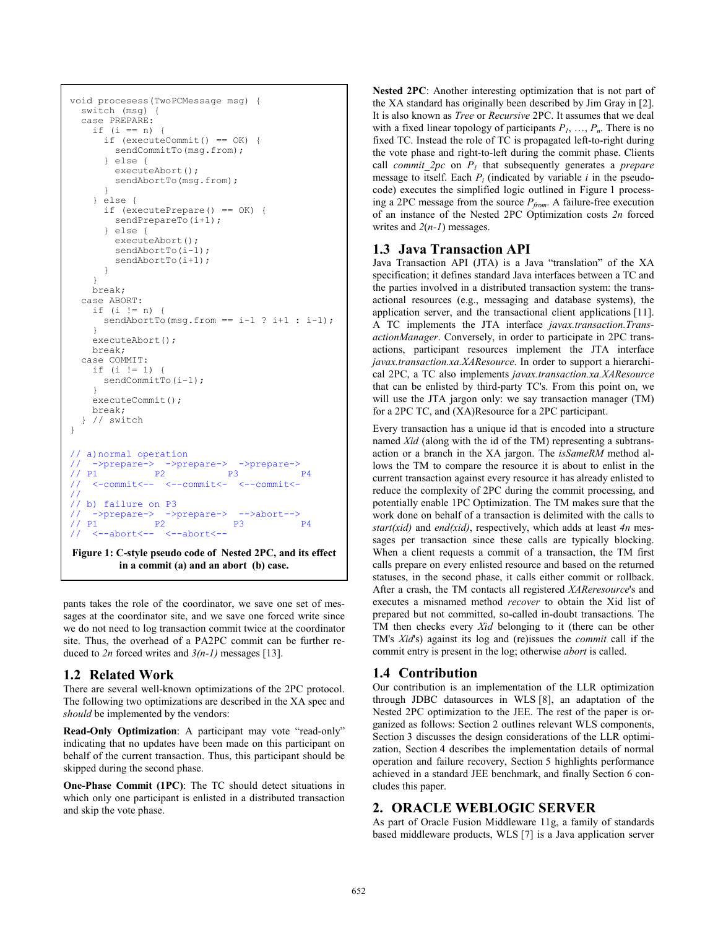```
void procesess(TwoPCMessage msg) { 
   switch (msg) { 
   case PREPARE: 
    if (i == n) {
       if (executeCommit() == OK) { 
         sendCommitTo(msg.from); 
         } else { 
        executeAbort();
         sendAbortTo(msg.from); 
 } 
     } else { 
       if (executePrepare() == OK) { 
         sendPrepareTo(i+1); 
       \begin{bmatrix} 1 & 0 \\ 0 & 1 \end{bmatrix} executeAbort(); 
        sendAbortTo(i-1);
        sendAbortTo(i+1);
 } 
 } 
     break; 
   case ABORT: 
    if (i \mid m) {
      sendAbortTo(msg.from == i-1 ? i+1 : i-1);
 } 
    executeAbort();
     break; 
   case COMMIT: 
    if (i != 1) {
      sendCommitTo(i-1);
 } 
     executeCommit(); 
     break; 
    // switch
} 
   a) normal operation
    ->prepare-> ->prepare-> ->prepare->
// P1 P2 P3 P3 P4
// <-commit<-- <--commit<- <--commit<-
// 
// b) failure on P3<br>\frac{1}{2} ->prepare-> ->
// -> prepare-> -> prepare-> -> abort--><br>
// P1 P2 P3 P31 P2 P3 P4
// <--abort<-- <--abort<--
Figure 1: C-style pseudo code of Nested 2PC, and its effect
         in a commit (a) and an abort (b) case.
```
pants takes the role of the coordinator, we save one set of messages at the coordinator site, and we save one forced write since we do not need to log transaction commit twice at the coordinator site. Thus, the overhead of a PA2PC commit can be further reduced to *2n* forced writes and *3(n-1)* messages [13].

## **1.2 Related Work**

There are several well-known optimizations of the 2PC protocol. The following two optimizations are described in the XA spec and *should* be implemented by the vendors:

**Read-Only Optimization**: A participant may vote "read-only" indicating that no updates have been made on this participant on behalf of the current transaction. Thus, this participant should be skipped during the second phase.

**One-Phase Commit (1PC)**: The TC should detect situations in which only one participant is enlisted in a distributed transaction and skip the vote phase.

**Nested 2PC**: Another interesting optimization that is not part of the XA standard has originally been described by Jim Gray in [2]. It is also known as *Tree* or *Recursive* 2PC. It assumes that we deal with a fixed linear topology of participants  $P_1$ , ...,  $P_n$ . There is no fixed TC. Instead the role of TC is propagated left-to-right during the vote phase and right-to-left during the commit phase. Clients call *commit\_2pc* on *P<sup>1</sup>* that subsequently generates a *prepare* message to itself. Each  $P_i$  (indicated by variable  $i$  in the pseudocode) executes the simplified logic outlined in Figure 1 processing a 2PC message from the source *Pfrom*. A failure-free execution of an instance of the Nested 2PC Optimization costs *2n* forced writes and *2*(*n-1*) messages.

## **1.3 Java Transaction API**

Java Transaction API (JTA) is a Java "translation" of the XA specification; it defines standard Java interfaces between a TC and the parties involved in a distributed transaction system: the transactional resources (e.g., messaging and database systems), the application server, and the transactional client applications [11]. A TC implements the JTA interface *javax.transaction.TransactionManager*. Conversely, in order to participate in 2PC transactions, participant resources implement the JTA interface *javax.transaction.xa.XAResource*. In order to support a hierarchical 2PC, a TC also implements *javax.transaction.xa.XAResource* that can be enlisted by third-party TC's. From this point on, we will use the JTA jargon only: we say transaction manager (TM) for a 2PC TC, and (XA)Resource for a 2PC participant.

Every transaction has a unique id that is encoded into a structure named *Xid* (along with the id of the TM) representing a subtransaction or a branch in the XA jargon. The *isSameRM* method allows the TM to compare the resource it is about to enlist in the current transaction against every resource it has already enlisted to reduce the complexity of 2PC during the commit processing, and potentially enable 1PC Optimization. The TM makes sure that the work done on behalf of a transaction is delimited with the calls to *start(xid)* and *end(xid)*, respectively, which adds at least *4n* messages per transaction since these calls are typically blocking. When a client requests a commit of a transaction, the TM first calls prepare on every enlisted resource and based on the returned statuses, in the second phase, it calls either commit or rollback. After a crash, the TM contacts all registered *XAReresource*'s and executes a misnamed method *recover* to obtain the Xid list of prepared but not committed, so-called in-doubt transactions. The TM then checks every *Xid* belonging to it (there can be other TM's *Xid*'s) against its log and (re)issues the *commit* call if the commit entry is present in the log; otherwise *abort* is called.

# **1.4 Contribution**

Our contribution is an implementation of the LLR optimization through JDBC datasources in WLS [8], an adaptation of the Nested 2PC optimization to the JEE. The rest of the paper is organized as follows: Section 2 outlines relevant WLS components, Section 3 discusses the design considerations of the LLR optimization, Section 4 describes the implementation details of normal operation and failure recovery, Section 5 highlights performance achieved in a standard JEE benchmark, and finally Section 6 concludes this paper.

# **2. ORACLE WEBLOGIC SERVER**

As part of Oracle Fusion Middleware 11g, a family of standards based middleware products, WLS [7] is a Java application server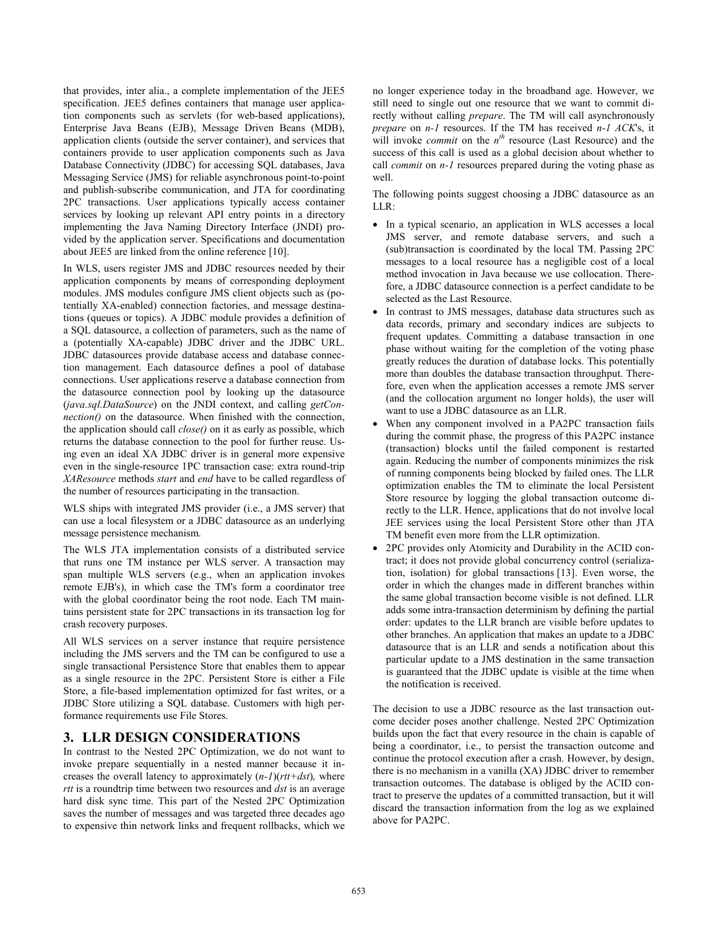that provides, inter alia., a complete implementation of the JEE5 specification. JEE5 defines containers that manage user application components such as servlets (for web-based applications), Enterprise Java Beans (EJB), Message Driven Beans (MDB), application clients (outside the server container), and services that containers provide to user application components such as Java Database Connectivity (JDBC) for accessing SQL databases, Java Messaging Service (JMS) for reliable asynchronous point-to-point and publish-subscribe communication, and JTA for coordinating 2PC transactions. User applications typically access container services by looking up relevant API entry points in a directory implementing the Java Naming Directory Interface (JNDI) provided by the application server. Specifications and documentation about JEE5 are linked from the online reference [10].

In WLS, users register JMS and JDBC resources needed by their application components by means of corresponding deployment modules. JMS modules configure JMS client objects such as (potentially XA-enabled) connection factories, and message destinations (queues or topics). A JDBC module provides a definition of a SQL datasource, a collection of parameters, such as the name of a (potentially XA-capable) JDBC driver and the JDBC URL. JDBC datasources provide database access and database connection management. Each datasource defines a pool of database connections. User applications reserve a database connection from the datasource connection pool by looking up the datasource (*java.sql.DataSource*) on the JNDI context, and calling *getConnection()* on the datasource. When finished with the connection, the application should call *close()* on it as early as possible, which returns the database connection to the pool for further reuse. Using even an ideal XA JDBC driver is in general more expensive even in the single-resource 1PC transaction case: extra round-trip *XAResource* methods *start* and *end* have to be called regardless of the number of resources participating in the transaction.

WLS ships with integrated JMS provider (i.e., a JMS server) that can use a local filesystem or a JDBC datasource as an underlying message persistence mechanism.

The WLS JTA implementation consists of a distributed service that runs one TM instance per WLS server. A transaction may span multiple WLS servers (e.g., when an application invokes remote EJB's), in which case the TM's form a coordinator tree with the global coordinator being the root node. Each TM maintains persistent state for 2PC transactions in its transaction log for crash recovery purposes.

All WLS services on a server instance that require persistence including the JMS servers and the TM can be configured to use a single transactional Persistence Store that enables them to appear as a single resource in the 2PC. Persistent Store is either a File Store, a file-based implementation optimized for fast writes, or a JDBC Store utilizing a SQL database. Customers with high performance requirements use File Stores.

## **3. LLR DESIGN CONSIDERATIONS**

In contrast to the Nested 2PC Optimization, we do not want to invoke prepare sequentially in a nested manner because it increases the overall latency to approximately (*n-1*)(*rtt+dst*)*,* where *rtt* is a roundtrip time between two resources and *dst* is an average hard disk sync time. This part of the Nested 2PC Optimization saves the number of messages and was targeted three decades ago to expensive thin network links and frequent rollbacks, which we

no longer experience today in the broadband age. However, we still need to single out one resource that we want to commit directly without calling *prepare*. The TM will call asynchronously *prepare* on *n-1* resources. If the TM has received *n-1 ACK*'s, it will invoke *commit* on the  $n^{th}$  resource (Last Resource) and the success of this call is used as a global decision about whether to call *commit* on *n-1* resources prepared during the voting phase as well.

The following points suggest choosing a JDBC datasource as an LLR:

- In a typical scenario, an application in WLS accesses a local JMS server, and remote database servers, and such a (sub)transaction is coordinated by the local TM. Passing 2PC messages to a local resource has a negligible cost of a local method invocation in Java because we use collocation. Therefore, a JDBC datasource connection is a perfect candidate to be selected as the Last Resource.
- In contrast to JMS messages, database data structures such as data records, primary and secondary indices are subjects to frequent updates. Committing a database transaction in one phase without waiting for the completion of the voting phase greatly reduces the duration of database locks. This potentially more than doubles the database transaction throughput. Therefore, even when the application accesses a remote JMS server (and the collocation argument no longer holds), the user will want to use a JDBC datasource as an LLR.
- When any component involved in a PA2PC transaction fails during the commit phase, the progress of this PA2PC instance (transaction) blocks until the failed component is restarted again. Reducing the number of components minimizes the risk of running components being blocked by failed ones. The LLR optimization enables the TM to eliminate the local Persistent Store resource by logging the global transaction outcome directly to the LLR. Hence, applications that do not involve local JEE services using the local Persistent Store other than JTA TM benefit even more from the LLR optimization.
- 2PC provides only Atomicity and Durability in the ACID contract; it does not provide global concurrency control (serialization, isolation) for global transactions [13]. Even worse, the order in which the changes made in different branches within the same global transaction become visible is not defined. LLR adds some intra-transaction determinism by defining the partial order: updates to the LLR branch are visible before updates to other branches. An application that makes an update to a JDBC datasource that is an LLR and sends a notification about this particular update to a JMS destination in the same transaction is guaranteed that the JDBC update is visible at the time when the notification is received.

The decision to use a JDBC resource as the last transaction outcome decider poses another challenge. Nested 2PC Optimization builds upon the fact that every resource in the chain is capable of being a coordinator, i.e., to persist the transaction outcome and continue the protocol execution after a crash. However, by design, there is no mechanism in a vanilla (XA) JDBC driver to remember transaction outcomes. The database is obliged by the ACID contract to preserve the updates of a committed transaction, but it will discard the transaction information from the log as we explained above for PA2PC.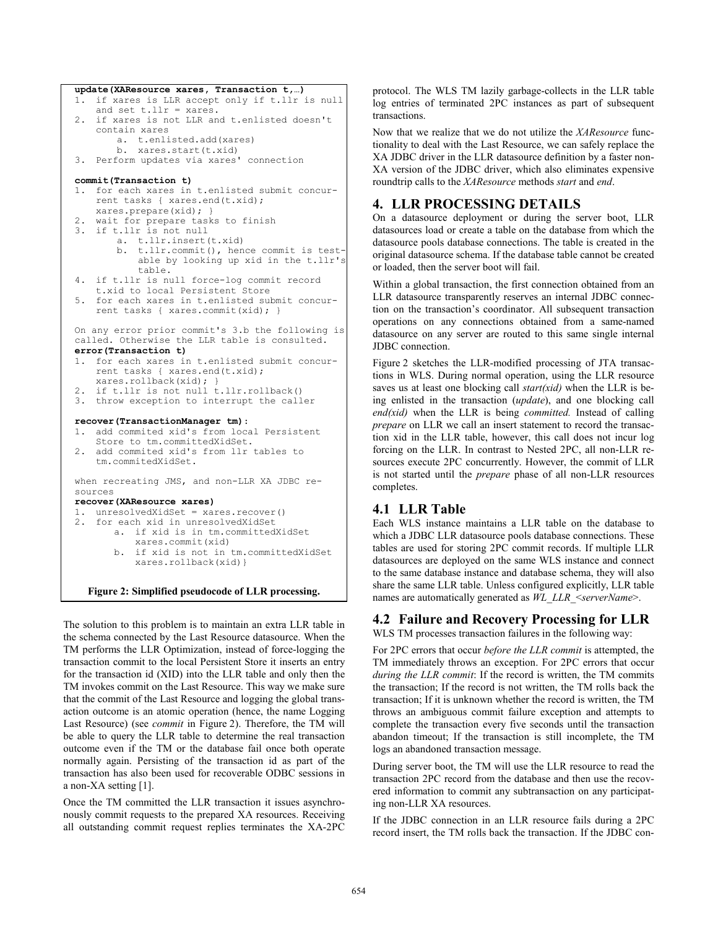```
update(XAResource xares, Transaction t,…) 
1. if xares is LLR accept only if t.llr is null 
   and set t.llr = xares. 
2. if xares is not LLR and t.enlisted doesn't 
    contain xares 
       a. t.enlisted.add(xares) 
       b. xares.start(t.xid) 
3. Perform updates via xares' connection 
commit(Transaction t) 
1. for each xares in t.enlisted submit concur-
    rent tasks { xares.end(t.xid); 
   xares.prepare(xid); } 
2. wait for prepare tasks to finish 
3. if t.llr is not null 
       a. t.llr.insert(t.xid) 
       b. t.llr.commit(), hence commit is test-
           able by looking up xid in the t.llr's 
           table. 
4. if t.llr is null force-log commit record 
    t.xid to local Persistent Store 
   for each xares in t.enlisted submit concur-
   rent tasks { xares.commit(xid); } 
On any error prior commit's 3.b the following is 
called. Otherwise the LLR table is consulted. 
error(Transaction t) 
1. for each xares in t.enlisted submit concur-
    rent tasks { xares.end(t.xid); 
   xares.rollback(xid); } 
2. if t.llr is not null t.llr.rollback() 
3. throw exception to interrupt the caller 
recover(TransactionManager tm): 
1. add commited xid's from local Persistent 
    Store to tm.committedXidSet. 
   add commited xid's from llr tables to
    tm.commitedXidSet. 
when recreating JMS, and non-LLR XA JDBC re-
sources 
recover(XAResource xares) 
1. unresolvedXidSet = xares.recover() 
2. for each xid in unresolvedXidSet 
       a. if xid is in tm.committedXidSet 
           xares.commit(xid) 
       b. if xid is not in tm.committedXidSet 
           xares.rollback(xid)} 
  Figure 2: Simplified pseudocode of LLR processing.
```
The solution to this problem is to maintain an extra LLR table in the schema connected by the Last Resource datasource. When the TM performs the LLR Optimization, instead of force-logging the transaction commit to the local Persistent Store it inserts an entry for the transaction id (XID) into the LLR table and only then the TM invokes commit on the Last Resource. This way we make sure that the commit of the Last Resource and logging the global transaction outcome is an atomic operation (hence, the name Logging Last Resource) (see *commit* in Figure 2). Therefore, the TM will be able to query the LLR table to determine the real transaction outcome even if the TM or the database fail once both operate normally again. Persisting of the transaction id as part of the transaction has also been used for recoverable ODBC sessions in a non-XA setting [1].

Once the TM committed the LLR transaction it issues asynchronously commit requests to the prepared XA resources. Receiving all outstanding commit request replies terminates the XA-2PC

protocol. The WLS TM lazily garbage-collects in the LLR table log entries of terminated 2PC instances as part of subsequent transactions.

Now that we realize that we do not utilize the *XAResource* functionality to deal with the Last Resource, we can safely replace the XA JDBC driver in the LLR datasource definition by a faster non-XA version of the JDBC driver, which also eliminates expensive roundtrip calls to the *XAResource* methods *start* and *end*.

# **4. LLR PROCESSIG DETAILS**

On a datasource deployment or during the server boot, LLR datasources load or create a table on the database from which the datasource pools database connections. The table is created in the original datasource schema. If the database table cannot be created or loaded, then the server boot will fail.

Within a global transaction, the first connection obtained from an LLR datasource transparently reserves an internal JDBC connection on the transaction's coordinator. All subsequent transaction operations on any connections obtained from a same-named datasource on any server are routed to this same single internal JDBC connection.

Figure 2 sketches the LLR-modified processing of JTA transactions in WLS. During normal operation, using the LLR resource saves us at least one blocking call *start(xid)* when the LLR is being enlisted in the transaction (*update*), and one blocking call *end(xid)* when the LLR is being *committed.* Instead of calling *prepare* on LLR we call an insert statement to record the transaction xid in the LLR table, however, this call does not incur log forcing on the LLR. In contrast to Nested 2PC, all non-LLR resources execute 2PC concurrently. However, the commit of LLR is not started until the *prepare* phase of all non-LLR resources completes.

## **4.1 LLR Table**

Each WLS instance maintains a LLR table on the database to which a JDBC LLR datasource pools database connections. These tables are used for storing 2PC commit records. If multiple LLR datasources are deployed on the same WLS instance and connect to the same database instance and database schema, they will also share the same LLR table. Unless configured explicitly, LLR table names are automatically generated as  $WL$ <sub>\_</sub>LLR\_<serverName>.

# **4.2 Failure and Recovery Processing for LLR**

WLS TM processes transaction failures in the following way:

For 2PC errors that occur *before the LLR commit* is attempted, the TM immediately throws an exception. For 2PC errors that occur *during the LLR commit*: If the record is written, the TM commits the transaction; If the record is not written, the TM rolls back the transaction; If it is unknown whether the record is written, the TM throws an ambiguous commit failure exception and attempts to complete the transaction every five seconds until the transaction abandon timeout; If the transaction is still incomplete, the TM logs an abandoned transaction message.

During server boot, the TM will use the LLR resource to read the transaction 2PC record from the database and then use the recovered information to commit any subtransaction on any participating non-LLR XA resources.

If the JDBC connection in an LLR resource fails during a 2PC record insert, the TM rolls back the transaction. If the JDBC con-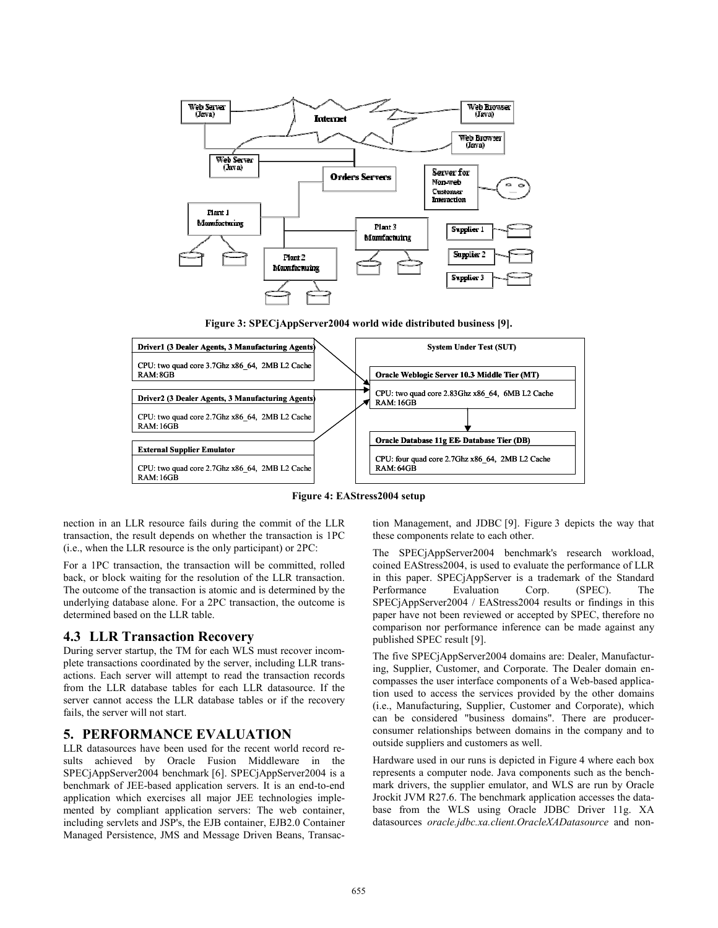

**Figure 3: SPECjAppServer2004 world wide distributed business [9].** 



**Figure 4: EAStress2004 setup** 

nection in an LLR resource fails during the commit of the LLR transaction, the result depends on whether the transaction is 1PC (i.e., when the LLR resource is the only participant) or 2PC:

For a 1PC transaction, the transaction will be committed, rolled back, or block waiting for the resolution of the LLR transaction. The outcome of the transaction is atomic and is determined by the underlying database alone. For a 2PC transaction, the outcome is determined based on the LLR table.

#### **4.3 LLR Transaction Recovery**

During server startup, the TM for each WLS must recover incomplete transactions coordinated by the server, including LLR transactions. Each server will attempt to read the transaction records from the LLR database tables for each LLR datasource. If the server cannot access the LLR database tables or if the recovery fails, the server will not start.

## **5. PERFORMANCE EVALUATION**

LLR datasources have been used for the recent world record results achieved by Oracle Fusion Middleware in the SPECjAppServer2004 benchmark [6]. SPECjAppServer2004 is a benchmark of JEE-based application servers. It is an end-to-end application which exercises all major JEE technologies implemented by compliant application servers: The web container, including servlets and JSP's, the EJB container, EJB2.0 Container Managed Persistence, JMS and Message Driven Beans, Transaction Management, and JDBC [9]. Figure 3 depicts the way that these components relate to each other.

The SPECjAppServer2004 benchmark's research workload, coined EAStress2004, is used to evaluate the performance of LLR in this paper. SPECjAppServer is a trademark of the Standard Performance Evaluation Corp. (SPEC). The SPECjAppServer2004 / EAStress2004 results or findings in this paper have not been reviewed or accepted by SPEC, therefore no comparison nor performance inference can be made against any published SPEC result [9].

The five SPECjAppServer2004 domains are: Dealer, Manufacturing, Supplier, Customer, and Corporate. The Dealer domain encompasses the user interface components of a Web-based application used to access the services provided by the other domains (i.e., Manufacturing, Supplier, Customer and Corporate), which can be considered "business domains". There are producerconsumer relationships between domains in the company and to outside suppliers and customers as well.

Hardware used in our runs is depicted in Figure 4 where each box represents a computer node. Java components such as the benchmark drivers, the supplier emulator, and WLS are run by Oracle Jrockit JVM R27.6. The benchmark application accesses the database from the WLS using Oracle JDBC Driver 11g. XA datasources *oracle.jdbc.xa.client.OracleXADatasource* and non-